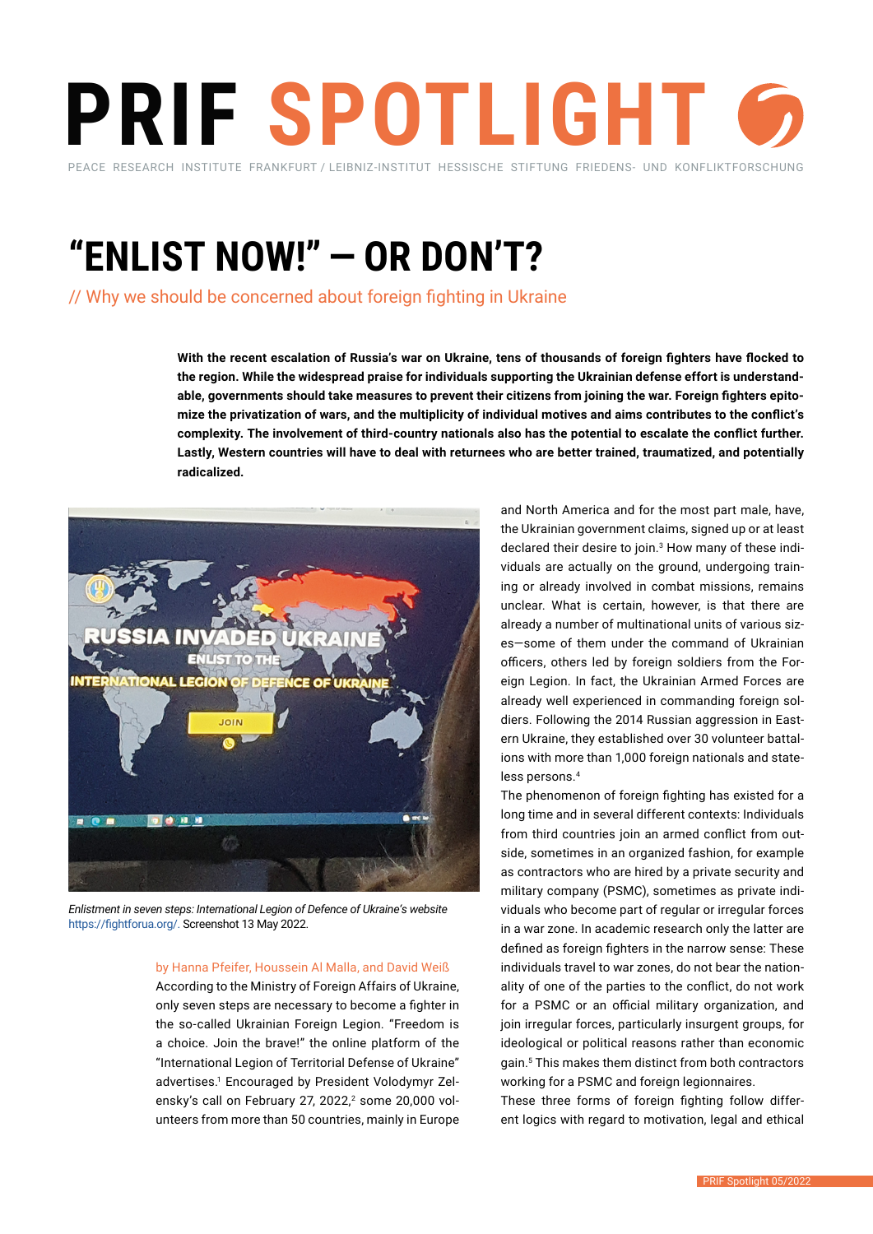# **PRIF SPOTLIGHT** PEACE RESEARCH INSTITUTE FRANKFURT / LEIBNIZ-INSTITUT HESSISCHE STIFTUNG FRIEDENS- UND KONFLIKTFORSCHUNG

**"ENLIST NOW!" — OR DON'T?** 

// Why we should be concerned about foreign fighting in Ukraine

**With the recent escalation of Russia's war on Ukraine, tens of thousands of foreign fighters have flocked to the region. While the widespread praise for individuals supporting the Ukrainian defense effort is understandable, governments should take measures to prevent their citizens from joining the war. Foreign fighters epitomize the privatization of wars, and the multiplicity of individual motives and aims contributes to the conflict's complexity. The involvement of third-country nationals also has the potential to escalate the conflict further. Lastly, Western countries will have to deal with returnees who are better trained, traumatized, and potentially radicalized.**



*Enlistment in seven steps: International Legion of Defence of Ukraine's website*  <https://fightforua.org/>. Screenshot 13 May 2022.

## by Hanna Pfeifer, Houssein Al Malla, and David Weiß

According to the Ministry of Foreign Affairs of Ukraine, only seven steps are necessary to become a fighter in the so-called Ukrainian Foreign Legion. "Freedom is a choice. Join the brave!" the online platform of the "International Legion of Territorial Defense of Ukraine" advertises.<sup>1</sup> Encouraged by President Volodymyr Zelensky's call on February 27, 2022,<sup>2</sup> some 20,000 volunteers from more than 50 countries, mainly in Europe

and North America and for the most part male, have, the Ukrainian government claims, signed up or at least declared their desire to join.<sup>3</sup> How many of these individuals are actually on the ground, undergoing training or already involved in combat missions, remains unclear. What is certain, however, is that there are already a number of multinational units of various sizes—some of them under the command of Ukrainian officers, others led by foreign soldiers from the Foreign Legion. In fact, the Ukrainian Armed Forces are already well experienced in commanding foreign soldiers. Following the 2014 Russian aggression in Eastern Ukraine, they established over 30 volunteer battalions with more than 1,000 foreign nationals and stateless persons.<sup>4</sup>

The phenomenon of foreign fighting has existed for a long time and in several different contexts: Individuals from third countries join an armed conflict from outside, sometimes in an organized fashion, for example as contractors who are hired by a private security and military company (PSMC), sometimes as private individuals who become part of regular or irregular forces in a war zone. In academic research only the latter are defined as foreign fighters in the narrow sense: These individuals travel to war zones, do not bear the nationality of one of the parties to the conflict, do not work for a PSMC or an official military organization, and join irregular forces, particularly insurgent groups, for ideological or political reasons rather than economic gain.<sup>5</sup> This makes them distinct from both contractors working for a PSMC and foreign legionnaires.

These three forms of foreign fighting follow different logics with regard to motivation, legal and ethical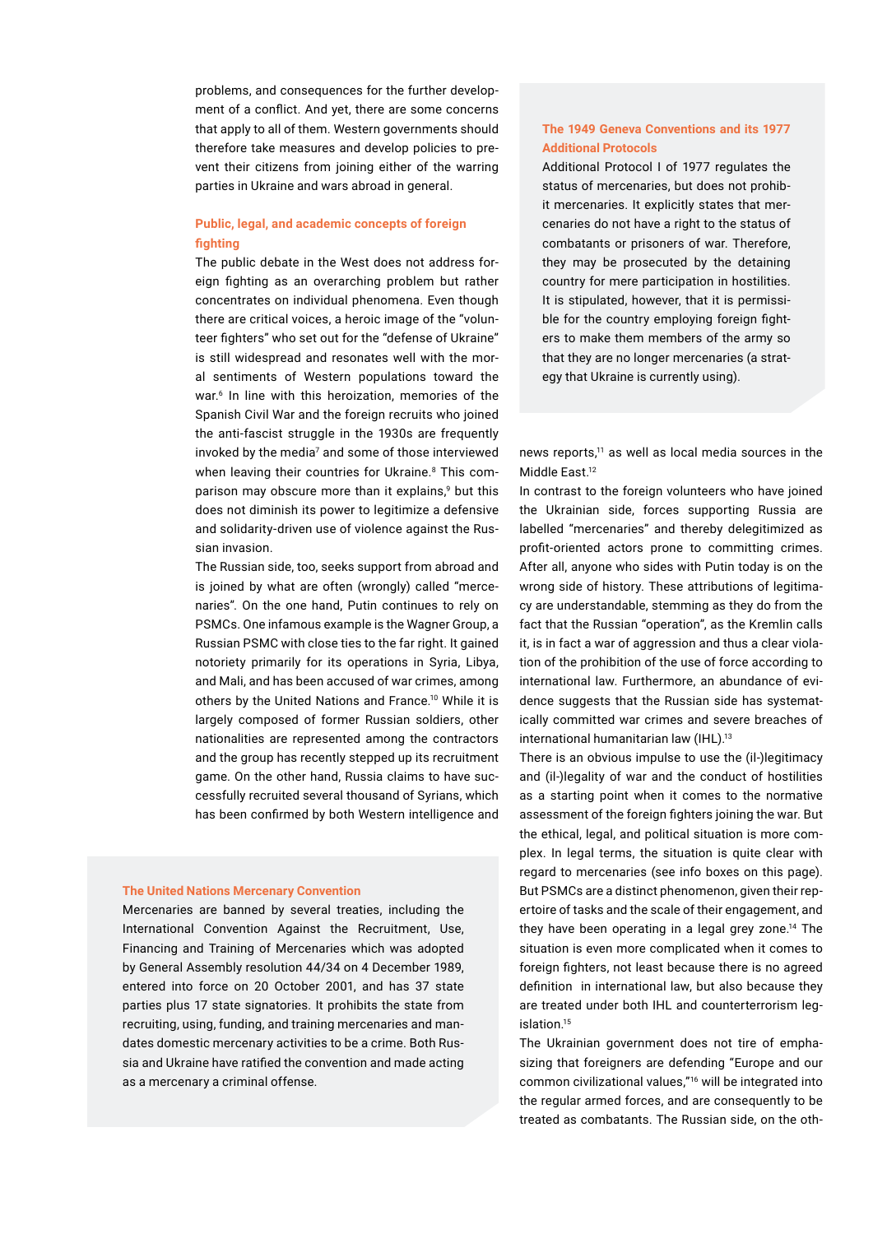problems, and consequences for the further development of a conflict. And yet, there are some concerns that apply to all of them. Western governments should therefore take measures and develop policies to prevent their citizens from joining either of the warring parties in Ukraine and wars abroad in general.

# **Public, legal, and academic concepts of foreign fighting**

The public debate in the West does not address foreign fighting as an overarching problem but rather concentrates on individual phenomena. Even though there are critical voices, a heroic image of the "volunteer fighters" who set out for the "defense of Ukraine" is still widespread and resonates well with the moral sentiments of Western populations toward the war.<sup>6</sup> In line with this heroization, memories of the Spanish Civil War and the foreign recruits who joined the anti-fascist struggle in the 1930s are frequently invoked by the media<sup>7</sup> and some of those interviewed when leaving their countries for Ukraine.<sup>8</sup> This comparison may obscure more than it explains,<sup>9</sup> but this does not diminish its power to legitimize a defensive and solidarity-driven use of violence against the Russian invasion.

The Russian side, too, seeks support from abroad and is joined by what are often (wrongly) called "mercenaries". On the one hand, Putin continues to rely on PSMCs. One infamous example is the Wagner Group, a Russian PSMC with close ties to the far right. It gained notoriety primarily for its operations in Syria, Libya, and Mali, and has been accused of war crimes, among others by the United Nations and France.<sup>10</sup> While it is largely composed of former Russian soldiers, other nationalities are represented among the contractors and the group has recently stepped up its recruitment game. On the other hand, Russia claims to have successfully recruited several thousand of Syrians, which has been confirmed by both Western intelligence and

### **The United Nations Mercenary Convention**

Mercenaries are banned by several treaties, including the International Convention Against the Recruitment, Use, Financing and Training of Mercenaries which was adopted by General Assembly resolution 44/34 on 4 December 1989, entered into force on 20 October 2001, and has 37 state parties plus 17 state signatories. It prohibits the state from recruiting, using, funding, and training mercenaries and mandates domestic mercenary activities to be a crime. Both Russia and Ukraine have ratified the convention and made acting as a mercenary a criminal offense.

# **The 1949 Geneva Conventions and its 1977 Additional Protocols**

Additional Protocol I of 1977 regulates the status of mercenaries, but does not prohibit mercenaries. It explicitly states that mercenaries do not have a right to the status of combatants or prisoners of war. Therefore, they may be prosecuted by the detaining country for mere participation in hostilities. It is stipulated, however, that it is permissible for the country employing foreign fighters to make them members of the army so that they are no longer mercenaries (a strategy that Ukraine is currently using).

news reports,<sup>11</sup> as well as local media sources in the Middle East.<sup>12</sup>

In contrast to the foreign volunteers who have joined the Ukrainian side, forces supporting Russia are labelled "mercenaries" and thereby delegitimized as profit-oriented actors prone to committing crimes. After all, anyone who sides with Putin today is on the wrong side of history. These attributions of legitimacy are understandable, stemming as they do from the fact that the Russian "operation", as the Kremlin calls it, is in fact a war of aggression and thus a clear violation of the prohibition of the use of force according to international law. Furthermore, an abundance of evidence suggests that the Russian side has systematically committed war crimes and severe breaches of international humanitarian law (IHL).<sup>13</sup>

There is an obvious impulse to use the (il-)legitimacy and (il-)legality of war and the conduct of hostilities as a starting point when it comes to the normative assessment of the foreign fighters joining the war. But the ethical, legal, and political situation is more complex. In legal terms, the situation is quite clear with regard to mercenaries (see info boxes on this page). But PSMCs are a distinct phenomenon, given their repertoire of tasks and the scale of their engagement, and they have been operating in a legal grey zone.<sup>14</sup> The situation is even more complicated when it comes to foreign fighters, not least because there is no agreed definition in international law, but also because they are treated under both IHL and counterterrorism legislation<sup>15</sup>

The Ukrainian government does not tire of emphasizing that foreigners are defending "Europe and our common civilizational values,"16 will be integrated into the regular armed forces, and are consequently to be treated as combatants. The Russian side, on the oth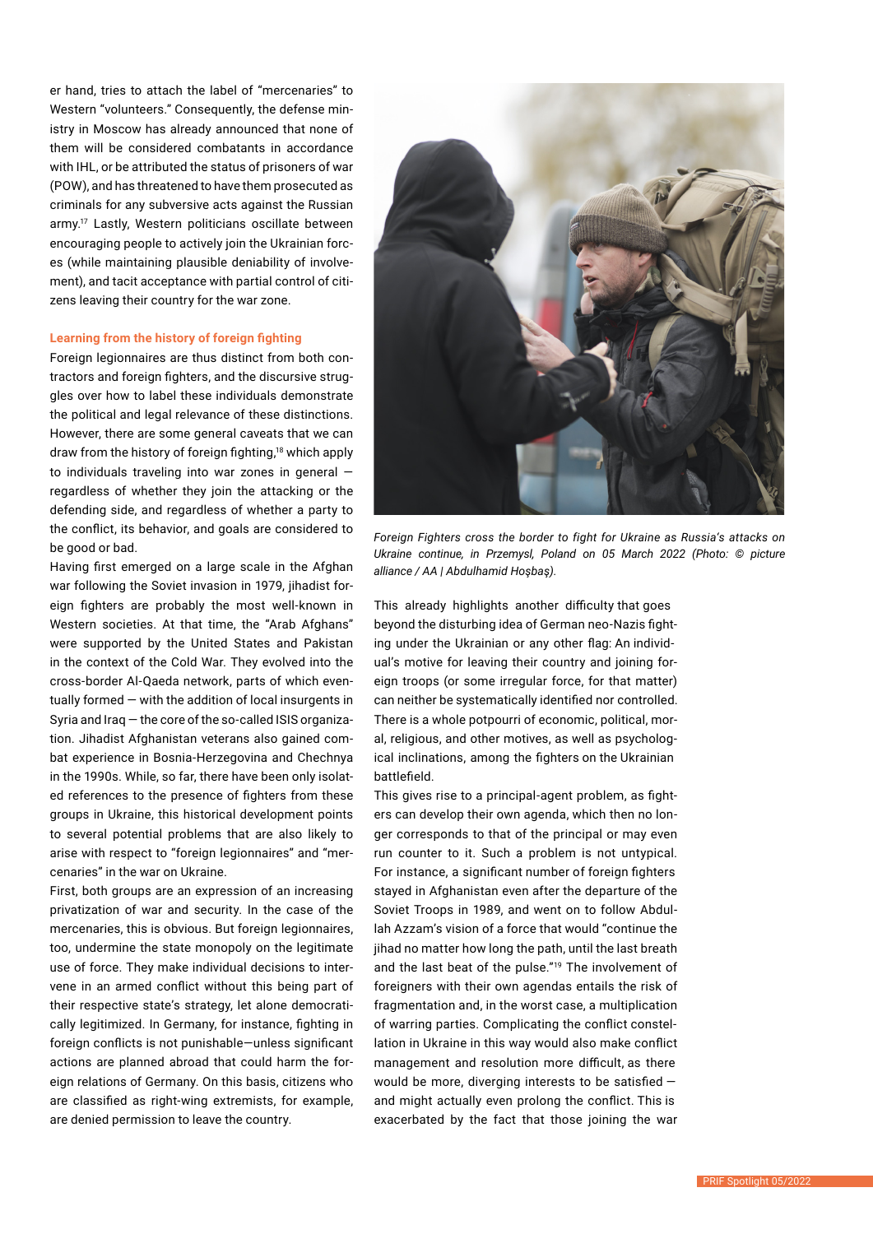er hand, tries to attach the label of "mercenaries" to Western "volunteers." Consequently, the defense ministry in Moscow has already announced that none of them will be considered combatants in accordance with IHL, or be attributed the status of prisoners of war (POW), and has threatened to have them prosecuted as criminals for any subversive acts against the Russian army.<sup>17</sup> Lastly, Western politicians oscillate between encouraging people to actively join the Ukrainian forces (while maintaining plausible deniability of involvement), and tacit acceptance with partial control of citizens leaving their country for the war zone.

# **Learning from the history of foreign fighting**

Foreign legionnaires are thus distinct from both contractors and foreign fighters, and the discursive struggles over how to label these individuals demonstrate the political and legal relevance of these distinctions. However, there are some general caveats that we can draw from the history of foreign fighting,18 which apply to individuals traveling into war zones in general regardless of whether they join the attacking or the defending side, and regardless of whether a party to the conflict, its behavior, and goals are considered to be good or bad.

Having first emerged on a large scale in the Afghan war following the Soviet invasion in 1979, jihadist foreign fighters are probably the most well-known in Western societies. At that time, the "Arab Afghans" were supported by the United States and Pakistan in the context of the Cold War. They evolved into the cross-border Al-Qaeda network, parts of which eventually formed — with the addition of local insurgents in Syria and Iraq — the core of the so-called ISIS organization. Jihadist Afghanistan veterans also gained combat experience in Bosnia-Herzegovina and Chechnya in the 1990s. While, so far, there have been only isolated references to the presence of fighters from these groups in Ukraine, this historical development points to several potential problems that are also likely to arise with respect to "foreign legionnaires" and "mercenaries" in the war on Ukraine.

First, both groups are an expression of an increasing privatization of war and security. In the case of the mercenaries, this is obvious. But foreign legionnaires, too, undermine the state monopoly on the legitimate use of force. They make individual decisions to intervene in an armed conflict without this being part of their respective state's strategy, let alone democratically legitimized. In Germany, for instance, fighting in foreign conflicts is not punishable—unless significant actions are planned abroad that could harm the foreign relations of Germany. On this basis, citizens who are classified as right-wing extremists, for example, are denied permission to leave the country.



*Foreign Fighters cross the border to fight for Ukraine as Russia's attacks on Ukraine continue, in Przemysl, Poland on 05 March 2022 (Photo: © picture alliance / AA | Abdulhamid Hoşbaş).*

This already highlights another difficulty that goes beyond the disturbing idea of German neo-Nazis fighting under the Ukrainian or any other flag: An individual's motive for leaving their country and joining foreign troops (or some irregular force, for that matter) can neither be systematically identified nor controlled. There is a whole potpourri of economic, political, moral, religious, and other motives, as well as psychological inclinations, among the fighters on the Ukrainian battlefield.

This gives rise to a principal-agent problem, as fighters can develop their own agenda, which then no longer corresponds to that of the principal or may even run counter to it. Such a problem is not untypical. For instance, a significant number of foreign fighters stayed in Afghanistan even after the departure of the Soviet Troops in 1989, and went on to follow Abdullah Azzam's vision of a force that would "continue the jihad no matter how long the path, until the last breath and the last beat of the pulse."<sup>19</sup> The involvement of foreigners with their own agendas entails the risk of fragmentation and, in the worst case, a multiplication of warring parties. Complicating the conflict constellation in Ukraine in this way would also make conflict management and resolution more difficult, as there would be more, diverging interests to be satisfied and might actually even prolong the conflict. This is exacerbated by the fact that those joining the war